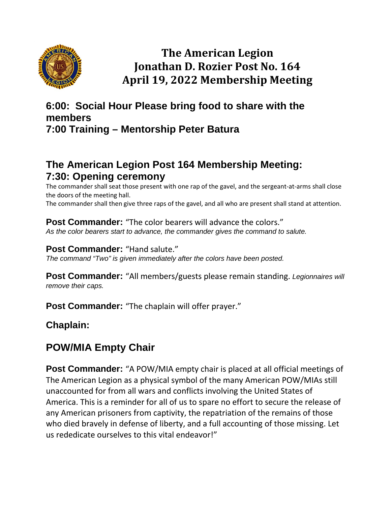

# **The American Legion Jonathan D. Rozier Post No. 164 April 19, 2022 Membership Meeting**

### **6:00: Social Hour Please bring food to share with the members 7:00 Training – Mentorship Peter Batura**

## **The American Legion Post 164 Membership Meeting: 7:30: Opening ceremony**

The commander shall seat those present with one rap of the gavel, and the sergeant-at-arms shall close the doors of the meeting hall.

The commander shall then give three raps of the gavel, and all who are present shall stand at attention.

**Post Commander:** "The color bearers will advance the colors." *As the color bearers start to advance, the commander gives the command to salute.*

### **Post Commander: "Hand salute."**

*The command "Two" is given immediately after the colors have been posted.*

**Post Commander:** "All members/guests please remain standing. *Legionnaires will remove their caps.* 

Post Commander: "The chaplain will offer prayer."

**Chaplain:** 

## **POW/MIA Empty Chair**

**Post Commander:** "A POW/MIA empty chair is placed at all official meetings of The American Legion as a physical symbol of the many American POW/MIAs still unaccounted for from all wars and conflicts involving the United States of America. This is a reminder for all of us to spare no effort to secure the release of any American prisoners from captivity, the repatriation of the remains of those who died bravely in defense of liberty, and a full accounting of those missing. Let us rededicate ourselves to this vital endeavor!"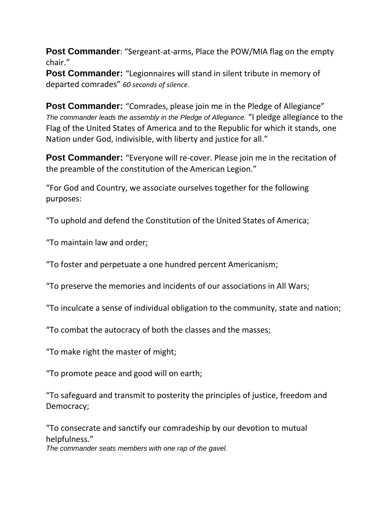**Post Commander**: "Sergeant-at-arms, Place the POW/MIA flag on the empty chair."

**Post Commander:** "Legionnaires will stand in silent tribute in memory of departed comrades" *60 seconds of silence.*

**Post Commander:** "Comrades, please join me in the Pledge of Allegiance" *The commander leads the assembly in the Pledge of Allegiance.* "I pledge allegiance to the Flag of the United States of America and to the Republic for which it stands, one Nation under God, indivisible, with liberty and justice for all."

**Post Commander:** "Everyone will re-cover. Please join me in the recitation of the preamble of the constitution of the American Legion."

"For God and Country, we associate ourselves together for the following purposes:

"To uphold and defend the Constitution of the United States of America;

"To maintain law and order;

"To foster and perpetuate a one hundred percent Americanism;

"To preserve the memories and incidents of our associations in All Wars;

"To inculcate a sense of individual obligation to the community, state and nation;

"To combat the autocracy of both the classes and the masses;

"To make right the master of might;

"To promote peace and good will on earth;

"To safeguard and transmit to posterity the principles of justice, freedom and Democracy;

"To consecrate and sanctify our comradeship by our devotion to mutual helpfulness." *The commander seats members with one rap of the gavel.*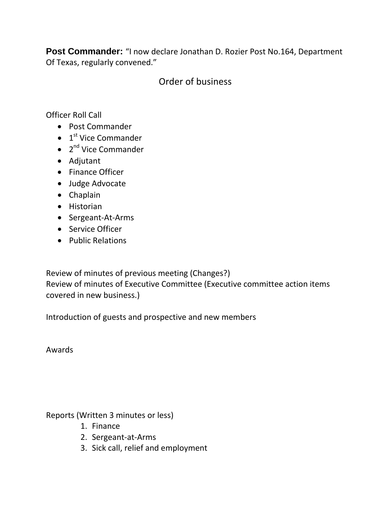**Post Commander:** "I now declare Jonathan D. Rozier Post No.164, Department Of Texas, regularly convened."

## Order of business

Officer Roll Call

- Post Commander
- $\bullet$  1<sup>st</sup> Vice Commander
- $\bullet$  2<sup>nd</sup> Vice Commander
- Adjutant
- Finance Officer
- Judge Advocate
- Chaplain
- Historian
- Sergeant-At-Arms
- Service Officer
- Public Relations

Review of minutes of previous meeting (Changes?) Review of minutes of Executive Committee (Executive committee action items covered in new business.)

Introduction of guests and prospective and new members

Awards

Reports (Written 3 minutes or less)

- 1. Finance
- 2. Sergeant-at-Arms
- 3. Sick call, relief and employment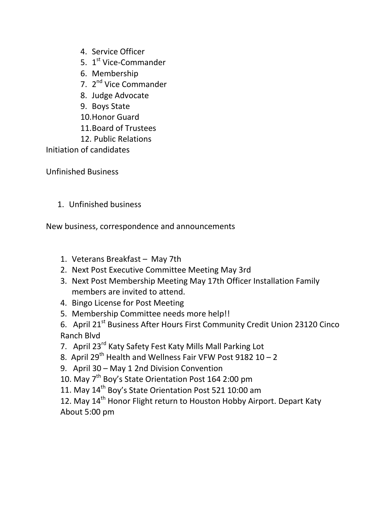- 4. Service Officer
- 5. 1<sup>st</sup> Vice-Commander
- 6. Membership
- 7. 2<sup>nd</sup> Vice Commander
- 8. Judge Advocate
- 9. Boys State
- 10.Honor Guard
- 11.Board of Trustees
- 12. Public Relations

Initiation of candidates

Unfinished Business

1. Unfinished business

New business, correspondence and announcements

- 1. Veterans Breakfast May 7th
- 2. Next Post Executive Committee Meeting May 3rd
- 3. Next Post Membership Meeting May 17th Officer Installation Family members are invited to attend.
- 4. Bingo License for Post Meeting
- 5. Membership Committee needs more help!!
- 6. April 21<sup>st</sup> Business After Hours First Community Credit Union 23120 Cinco Ranch Blvd
- 7. April 23<sup>rd</sup> Katy Safety Fest Katy Mills Mall Parking Lot
- 8. April 29<sup>th</sup> Health and Wellness Fair VFW Post 9182  $10 2$
- 9. April 30 May 1 2nd Division Convention
- 10. May 7<sup>th</sup> Boy's State Orientation Post 164 2:00 pm
- 11. May 14<sup>th</sup> Boy's State Orientation Post 521 10:00 am

12. May 14<sup>th</sup> Honor Flight return to Houston Hobby Airport. Depart Katy About 5:00 pm